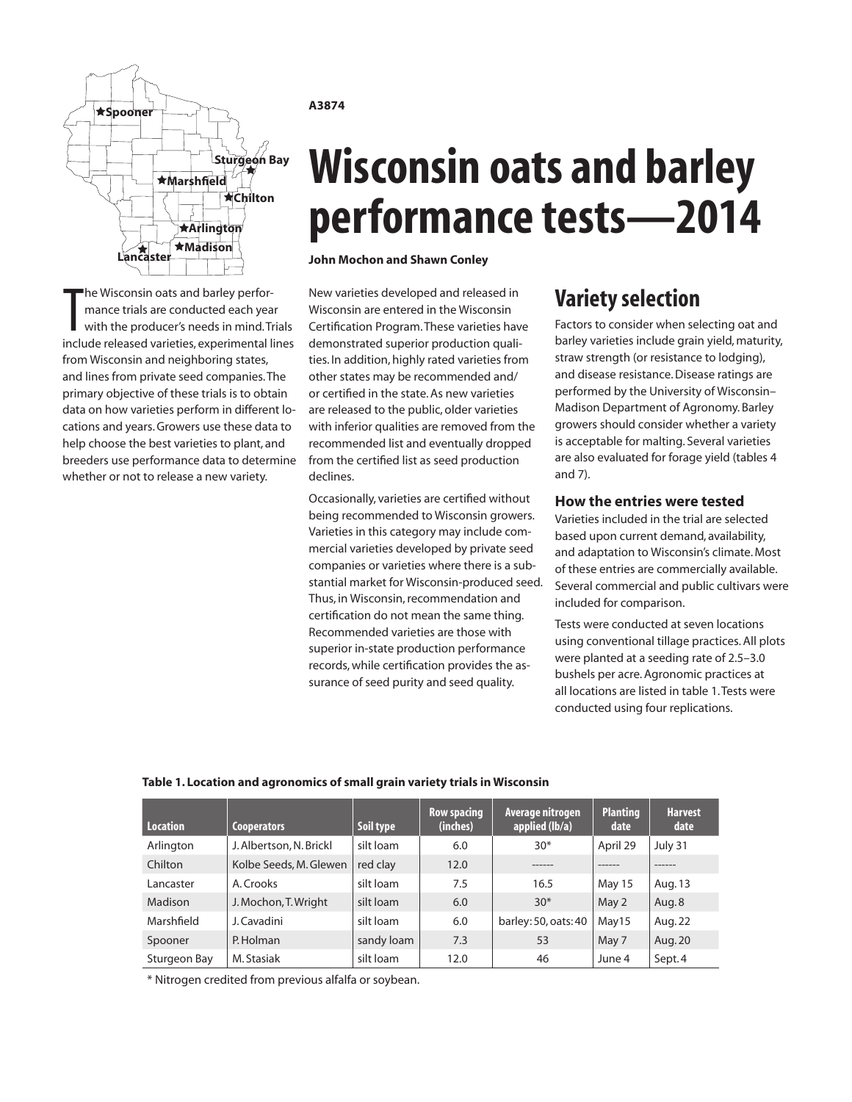

The Wisconsin oats and barley perfor-<br>mance trials are conducted each year<br>with the producer's needs in mind. Trials<br>include released varieties, experimental lines he Wisconsin oats and barley performance trials are conducted each year with the producer's needs in mind. Trials from Wisconsin and neighboring states, and lines from private seed companies. The primary objective of these trials is to obtain data on how varieties perform in different locations and years. Growers use these data to help choose the best varieties to plant, and breeders use performance data to determine whether or not to release a new variety.

## **A3874**

# **Wisconsin oats and barley performance tests—2014**

**John Mochon and Shawn Conley**

New varieties developed and released in Wisconsin are entered in the Wisconsin Certification Program. These varieties have demonstrated superior production qualities. In addition, highly rated varieties from other states may be recommended and/ or certified in the state. As new varieties are released to the public, older varieties with inferior qualities are removed from the recommended list and eventually dropped from the certified list as seed production declines.

Occasionally, varieties are certified without being recommended to Wisconsin growers. Varieties in this category may include commercial varieties developed by private seed companies or varieties where there is a substantial market for Wisconsin-produced seed. Thus, in Wisconsin, recommendation and certification do not mean the same thing. Recommended varieties are those with superior in-state production performance records, while certification provides the assurance of seed purity and seed quality.

## **Variety selection**

Factors to consider when selecting oat and barley varieties include grain yield, maturity, straw strength (or resistance to lodging), and disease resistance. Disease ratings are performed by the University of Wisconsin– Madison Department of Agronomy. Barley growers should consider whether a variety is acceptable for malting. Several varieties are also evaluated for forage yield (tables 4 and 7).

## **How the entries were tested**

Varieties included in the trial are selected based upon current demand, availability, and adaptation to Wisconsin's climate. Most of these entries are commercially available. Several commercial and public cultivars were included for comparison.

Tests were conducted at seven locations using conventional tillage practices. All plots were planted at a seeding rate of 2.5–3.0 bushels per acre. Agronomic practices at all locations are listed in table 1. Tests were conducted using four replications.

## **Table 1. Location and agronomics of small grain variety trials in Wisconsin**

| <b>Location</b> | <b>Cooperators</b>      | Soil type  | <b>Row spacing</b><br>(inches) | Average nitrogen<br>applied (lb/a) | <b>Planting</b><br>date | <b>Harvest</b><br>date |
|-----------------|-------------------------|------------|--------------------------------|------------------------------------|-------------------------|------------------------|
| Arlington       | J. Albertson, N. Brickl | silt loam  | 6.0                            | $30*$                              | April 29                | July 31                |
| Chilton         | Kolbe Seeds, M. Glewen  | red clay   | 12.0                           | ------                             | -------                 | ------                 |
| Lancaster       | A. Crooks               | silt loam  | 7.5                            | 16.5                               | May 15                  | Aug. 13                |
| Madison         | J. Mochon, T. Wright    | silt loam  | 6.0                            | $30*$                              | May 2                   | Aug. 8                 |
| Marshfield      | J. Cavadini             | silt loam  | 6.0                            | barley: 50, oats: 40               | May15                   | Aug. 22                |
| Spooner         | P. Holman               | sandy loam | 7.3                            | 53                                 | May 7                   | Aug. 20                |
| Sturgeon Bay    | M. Stasiak              | silt loam  | 12.0                           | 46                                 | June 4                  | Sept. 4                |

\* Nitrogen credited from previous alfalfa or soybean.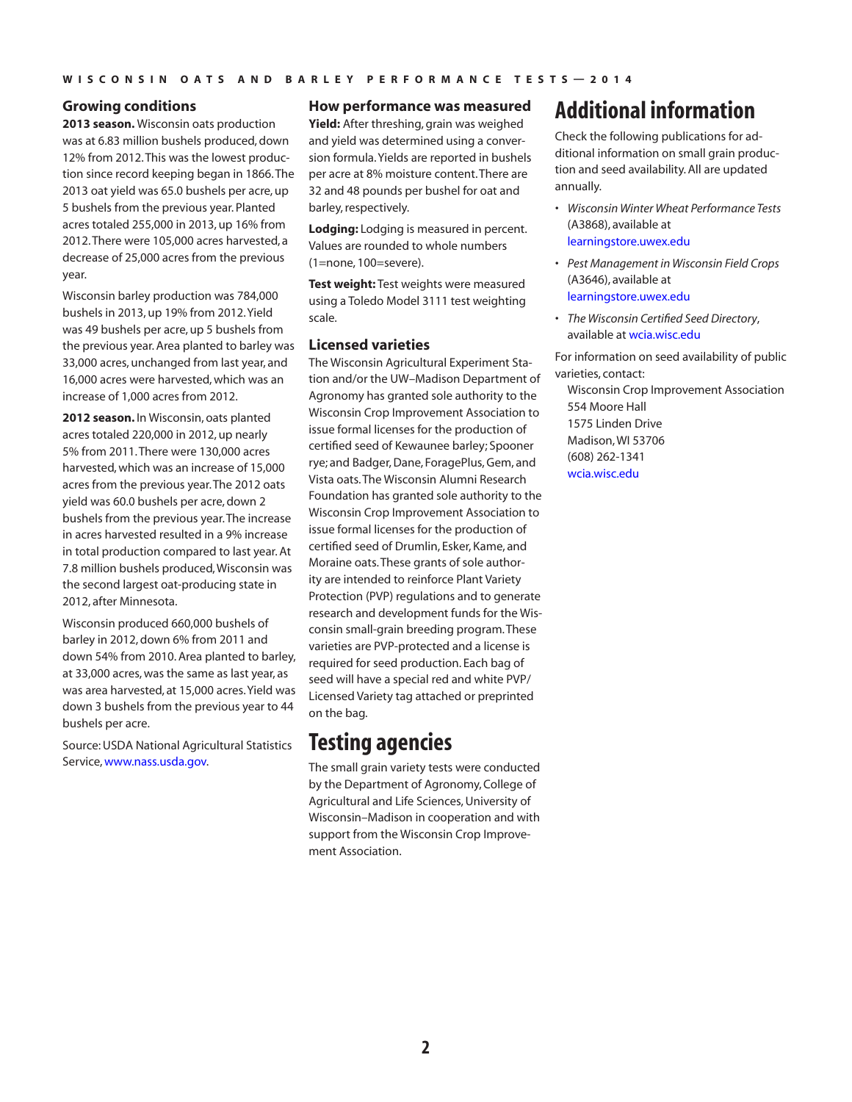## **Growing conditions**

**2013 season.** Wisconsin oats production was at 6.83 million bushels produced, down 12% from 2012. This was the lowest production since record keeping began in 1866. The 2013 oat yield was 65.0 bushels per acre, up 5 bushels from the previous year. Planted acres totaled 255,000 in 2013, up 16% from 2012. There were 105,000 acres harvested, a decrease of 25,000 acres from the previous year.

Wisconsin barley production was 784,000 bushels in 2013, up 19% from 2012. Yield was 49 bushels per acre, up 5 bushels from the previous year. Area planted to barley was 33,000 acres, unchanged from last year, and 16,000 acres were harvested, which was an increase of 1,000 acres from 2012.

**2012 season.** In Wisconsin, oats planted acres totaled 220,000 in 2012, up nearly 5% from 2011. There were 130,000 acres harvested, which was an increase of 15,000 acres from the previous year. The 2012 oats yield was 60.0 bushels per acre, down 2 bushels from the previous year. The increase in acres harvested resulted in a 9% increase in total production compared to last year. At 7.8 million bushels produced, Wisconsin was the second largest oat-producing state in 2012, after Minnesota.

Wisconsin produced 660,000 bushels of barley in 2012, down 6% from 2011 and down 54% from 2010. Area planted to barley, at 33,000 acres, was the same as last year, as was area harvested, at 15,000 acres. Yield was down 3 bushels from the previous year to 44 bushels per acre.

Source: USDA National Agricultural Statistics Service, [www.nass.usda.gov](http://www.nass.usda.gov).

## **How performance was measured**

**Yield:** After threshing, grain was weighed and yield was determined using a conversion formula. Yields are reported in bushels per acre at 8% moisture content. There are 32 and 48 pounds per bushel for oat and barley, respectively.

**Lodging:** Lodging is measured in percent. Values are rounded to whole numbers (1=none, 100=severe).

**Test weight:** Test weights were measured using a Toledo Model 3111 test weighting scale.

## **Licensed varieties**

The Wisconsin Agricultural Experiment Station and/or the UW–Madison Department of Agronomy has granted sole authority to the Wisconsin Crop Improvement Association to issue formal licenses for the production of certified seed of Kewaunee barley; Spooner rye; and Badger, Dane, ForagePlus, Gem, and Vista oats. The Wisconsin Alumni Research Foundation has granted sole authority to the Wisconsin Crop Improvement Association to issue formal licenses for the production of certified seed of Drumlin, Esker, Kame, and Moraine oats. These grants of sole authority are intended to reinforce Plant Variety Protection (PVP) regulations and to generate research and development funds for the Wisconsin small-grain breeding program. These varieties are PVP-protected and a license is required for seed production. Each bag of seed will have a special red and white PVP/ Licensed Variety tag attached or preprinted on the bag.

## **Testing agencies**

The small grain variety tests were conducted by the Department of Agronomy, College of Agricultural and Life Sciences, University of Wisconsin–Madison in cooperation and with support from the Wisconsin Crop Improvement Association.

## **Additional information**

Check the following publications for additional information on small grain production and seed availability. All are updated annually.

- *• Wisconsin Winter Wheat Performance Tests* (A3868), available at [learningstore.uwex.edu](http://learningstore.uwex.edu)
- *• Pest Management in Wisconsin Field Crops* (A3646), available at [learningstore.uwex.edu](http://learningstore.uwex.edu)
- *• The Wisconsin Certified Seed Directory*, available at wcia.wisc.edu

For information on seed availability of public varieties, contact:

Wisconsin Crop Improvement Association 554 Moore Hall 1575 Linden Drive Madison, WI 53706 (608) 262-1341 [wcia.wisc.edu](http://www.wcia.wisc.edu)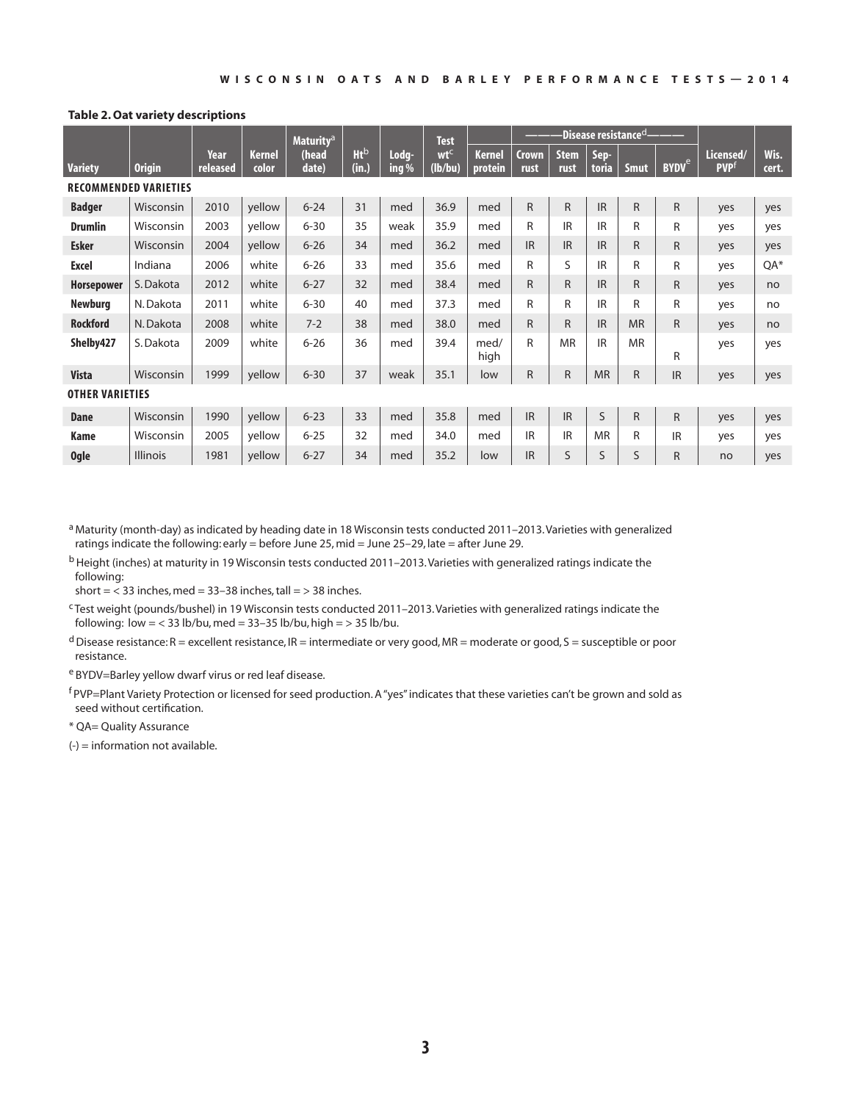## **Table 2. Oat variety descriptions**

|                        |                              |                  |                 | Maturity <sup>a</sup> |                          |                  | <b>Test</b>                |                          | -Disease resistance <sup>cl</sup> |                     |               |             |                         |                               |               |
|------------------------|------------------------------|------------------|-----------------|-----------------------|--------------------------|------------------|----------------------------|--------------------------|-----------------------------------|---------------------|---------------|-------------|-------------------------|-------------------------------|---------------|
| <b>Variety</b>         | <b>Origin</b>                | Year<br>released | Kernel<br>color | (head<br>date)        | Ht <sub>b</sub><br>(in.) | Lodg-<br>ing $%$ | wt <sup>c</sup><br>(lb/bu) | <b>Kernel</b><br>protein | <b>Crown</b><br>rust              | <b>Stem</b><br>rust | Sep-<br>toria | <b>Smut</b> | <b>BYDV<sup>e</sup></b> | Licensed/<br>PVP <sup>f</sup> | Wis.<br>cert. |
|                        | <b>RECOMMENDED VARIETIES</b> |                  |                 |                       |                          |                  |                            |                          |                                   |                     |               |             |                         |                               |               |
| <b>Badger</b>          | Wisconsin                    | 2010             | yellow          | $6 - 24$              | 31                       | med              | 36.9                       | med                      | R                                 | $\mathsf{R}$        | <b>IR</b>     | R           | R                       | yes                           | yes           |
| <b>Drumlin</b>         | Wisconsin                    | 2003             | yellow          | $6 - 30$              | 35                       | weak             | 35.9                       | med                      | R                                 | <b>IR</b>           | <b>IR</b>     | R           | R                       | yes                           | yes           |
| <b>Esker</b>           | Wisconsin                    | 2004             | yellow          | $6 - 26$              | 34                       | med              | 36.2                       | med                      | IR                                | <b>IR</b>           | <b>IR</b>     | R.          | R                       | yes                           | yes           |
| <b>Excel</b>           | Indiana                      | 2006             | white           | $6 - 26$              | 33                       | med              | 35.6                       | med                      | $\mathsf{R}$                      | S                   | IR            | R           | R                       | yes                           | OA*           |
| <b>Horsepower</b>      | S. Dakota                    | 2012             | white           | $6 - 27$              | 32                       | med              | 38.4                       | med                      | $\mathsf{R}$                      | R.                  | <b>IR</b>     | R           | R                       | yes                           | no            |
| <b>Newburg</b>         | N.Dakota                     | 2011             | white           | $6 - 30$              | 40                       | med              | 37.3                       | med                      | R                                 | R                   | <b>IR</b>     | R           | R                       | yes                           | no            |
| <b>Rockford</b>        | N. Dakota                    | 2008             | white           | $7 - 2$               | 38                       | med              | 38.0                       | med                      | R                                 | R.                  | <b>IR</b>     | <b>MR</b>   | R.                      | yes                           | no            |
| Shelby427              | S. Dakota                    | 2009             | white           | $6 - 26$              | 36                       | med              | 39.4                       | med/<br>high             | R                                 | <b>MR</b>           | <b>IR</b>     | <b>MR</b>   | R                       | yes                           | yes           |
| <b>Vista</b>           | Wisconsin                    | 1999             | yellow          | $6 - 30$              | 37                       | weak             | 35.1                       | low                      | R                                 | R                   | <b>MR</b>     | R           | <b>IR</b>               | yes                           | yes           |
| <b>OTHER VARIETIES</b> |                              |                  |                 |                       |                          |                  |                            |                          |                                   |                     |               |             |                         |                               |               |
| <b>Dane</b>            | Wisconsin                    | 1990             | yellow          | $6 - 23$              | 33                       | med              | 35.8                       | med                      | IR.                               | <b>IR</b>           | S             | R           | R                       | yes                           | yes           |
| Kame                   | Wisconsin                    | 2005             | yellow          | $6 - 25$              | 32                       | med              | 34.0                       | med                      | IR.                               | <b>IR</b>           | <b>MR</b>     | R           | <b>IR</b>               | yes                           | yes           |
| <b>Ogle</b>            | <b>Illinois</b>              | 1981             | yellow          | $6 - 27$              | 34                       | med              | 35.2                       | low                      | IR                                | S                   | S             | S           | R                       | no                            | yes           |

a Maturity (month-day) as indicated by heading date in 18 Wisconsin tests conducted 2011-2013. Varieties with generalized ratings indicate the following: early = before June 25, mid = June 25–29, late = after June 29.

b Height (inches) at maturity in 19 Wisconsin tests conducted 2011–2013. Varieties with generalized ratings indicate the following:

short  $=$  < 33 inches, med  $=$  33-38 inches, tall  $=$  > 38 inches.

c Test weight (pounds/bushel) in 19 Wisconsin tests conducted 2011–2013. Varieties with generalized ratings indicate the following:  $low = < 33$  lb/bu, med =  $33-35$  lb/bu, high =  $> 35$  lb/bu.

 $d$  Disease resistance: R = excellent resistance, IR = intermediate or very good, MR = moderate or good, S = susceptible or poor resistance.

e BYDV=Barley yellow dwarf virus or red leaf disease.

f PVP=Plant Variety Protection or licensed for seed production. A "yes" indicates that these varieties can't be grown and sold as seed without certification.

\* QA= Quality Assurance

 $(-)$  = information not available.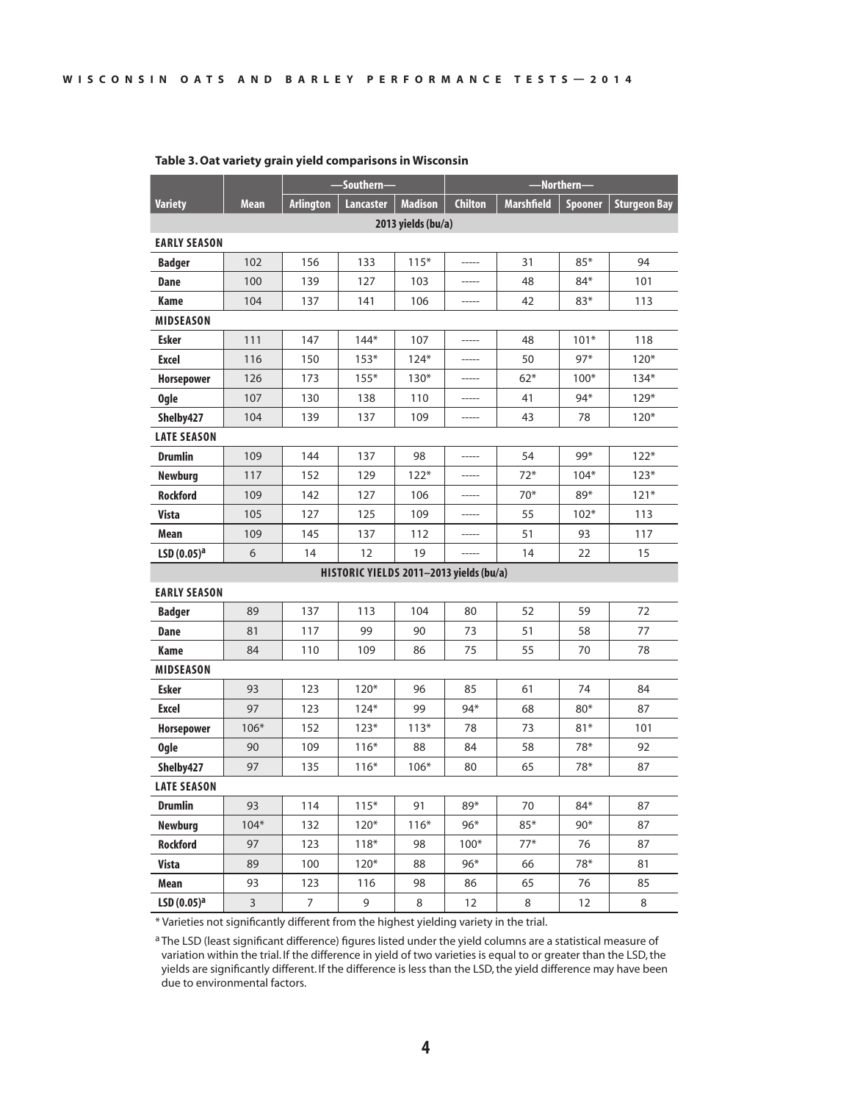|                        |             | -Southern-<br>-Northern- |                                         |                    |                |                   |         |                     |  |  |  |
|------------------------|-------------|--------------------------|-----------------------------------------|--------------------|----------------|-------------------|---------|---------------------|--|--|--|
| <b>Variety</b>         | <b>Mean</b> | <b>Arlington</b>         | <b>Lancaster</b>                        | <b>Madison</b>     | <b>Chilton</b> | <b>Marshfield</b> | Spooner | <b>Sturgeon Bay</b> |  |  |  |
|                        |             |                          |                                         | 2013 yields (bu/a) |                |                   |         |                     |  |  |  |
| <b>EARLY SEASON</b>    |             |                          |                                         |                    |                |                   |         |                     |  |  |  |
| <b>Badger</b>          | 102         | 156                      | 133                                     | $115*$             | $-----1$       | 31                | $85*$   | 94                  |  |  |  |
| Dane                   | 100         | 139                      | 127                                     | 103                |                | 48                | $84*$   | 101                 |  |  |  |
| Kame                   | 104         | 137                      | 141                                     | 106                |                | 42                | 83*     | 113                 |  |  |  |
| <b>MIDSEASON</b>       |             |                          |                                         |                    |                |                   |         |                     |  |  |  |
| <b>Esker</b>           | 111         | 147                      | $144*$                                  | 107                |                | 48                | $101*$  | 118                 |  |  |  |
| Excel                  | 116         | 150                      | $153*$                                  | $124*$             |                | 50                | $97*$   | $120*$              |  |  |  |
| <b>Horsepower</b>      | 126         | 173                      | $155*$                                  | $130*$             | -----          | $62*$             | $100*$  | $134*$              |  |  |  |
| <b>Ogle</b>            | 107         | 130                      | 138                                     | 110                |                | 41                | 94*     | $129*$              |  |  |  |
| Shelby427              | 104         | 139                      | 137                                     | 109                |                | 43                | 78      | $120*$              |  |  |  |
| <b>LATE SEASON</b>     |             |                          |                                         |                    |                |                   |         |                     |  |  |  |
| <b>Drumlin</b>         | 109         | 144                      | 137                                     | 98                 |                | 54                | 99*     | $122*$              |  |  |  |
| <b>Newburg</b>         | 117         | 152                      | 129                                     | $122*$             |                | $72*$             | $104*$  | $123*$              |  |  |  |
| <b>Rockford</b>        | 109         | 142                      | 127                                     | 106                | $- - - - - -$  | $70*$             | 89*     | $121*$              |  |  |  |
| Vista                  | 105         | 127                      | 125                                     | 109                |                | 55                | $102*$  | 113                 |  |  |  |
| Mean                   | 109         | 145                      | 137                                     | 112                |                | 51                | 93      | 117                 |  |  |  |
| LSD(0.05) <sup>a</sup> | 6           | 14                       | 12                                      | 19                 |                | 14                | 22      | 15                  |  |  |  |
|                        |             |                          | HISTORIC YIELDS 2011-2013 yields (bu/a) |                    |                |                   |         |                     |  |  |  |
| <b>EARLY SEASON</b>    |             |                          |                                         |                    |                |                   |         |                     |  |  |  |
| <b>Badger</b>          | 89          | 137                      | 113                                     | 104                | 80             | 52                | 59      | 72                  |  |  |  |
| Dane                   | 81          | 117                      | 99                                      | 90                 | 73             | 51                | 58      | 77                  |  |  |  |
| Kame                   | 84          | 110                      | 109                                     | 86                 | 75             | 55                | 70      | 78                  |  |  |  |
| <b>MIDSEASON</b>       |             |                          |                                         |                    |                |                   |         |                     |  |  |  |
| <b>Esker</b>           | 93          | 123                      | $120*$                                  | 96                 | 85             | 61                | 74      | 84                  |  |  |  |
| Excel                  | 97          | 123                      | $124*$                                  | 99                 | 94*            | 68                | $80*$   | 87                  |  |  |  |
| <b>Horsepower</b>      | $106*$      | 152                      | $123*$                                  | $113*$             | 78             | 73                | $81*$   | 101                 |  |  |  |
| <b>Ogle</b>            | 90          | 109                      | $116*$                                  | 88                 | 84             | 58                | 78*     | 92                  |  |  |  |
| Shelby427              | 97          | 135                      | $116*$                                  | $106*$             | 80             | 65                | 78*     | 87                  |  |  |  |
| <b>LATE SEASON</b>     |             |                          |                                         |                    |                |                   |         |                     |  |  |  |
| <b>Drumlin</b>         | 93          | 114                      | $115*$                                  | 91                 | 89*            | 70                | 84*     | 87                  |  |  |  |
| <b>Newburg</b>         | $104*$      | 132                      | $120*$                                  | $116*$             | $96*$          | $85*$             | $90*$   | 87                  |  |  |  |
| <b>Rockford</b>        | 97          | 123                      | $118*$                                  | 98                 | $100*$         | $77*$             | 76      | 87                  |  |  |  |
| <b>Vista</b>           | 89          | 100                      | $120*$                                  | 88                 | $96*$          | 66                | 78*     | 81                  |  |  |  |
| Mean                   | 93          | 123                      | 116                                     | 98                 | 86             | 65                | 76      | 85                  |  |  |  |
| LSD(0.05) <sup>a</sup> | 3           | 7                        | 9                                       | 8                  | 12             | 8                 | 12      | 8                   |  |  |  |

## **Table 3. Oat variety grain yield comparisons in Wisconsin**

\* Varieties not significantly different from the highest yielding variety in the trial.

<sup>a</sup> The LSD (least significant difference) figures listed under the yield columns are a statistical measure of variation within the trial. If the difference in yield of two varieties is equal to or greater than the LSD, the yields are significantly different. If the difference is less than the LSD, the yield difference may have been due to environmental factors.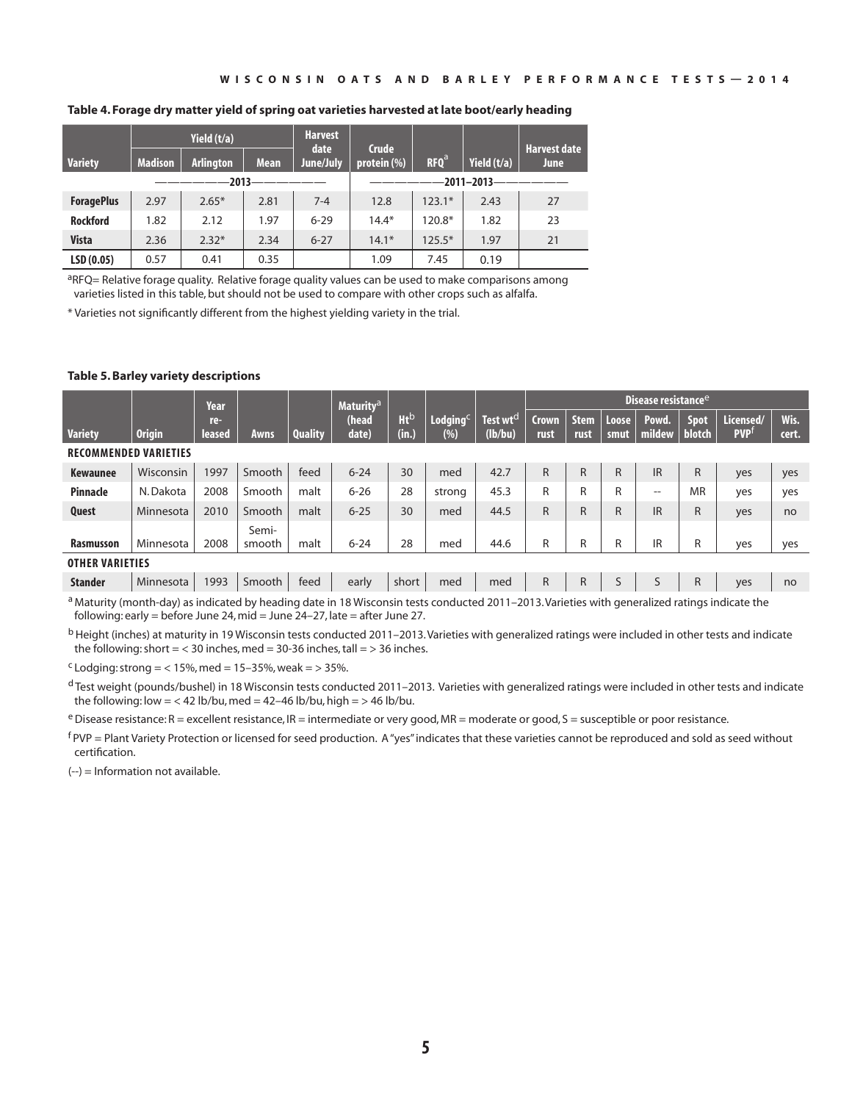| Table 4. Forage dry matter yield of spring oat varieties harvested at late boot/early heading |  |
|-----------------------------------------------------------------------------------------------|--|
|-----------------------------------------------------------------------------------------------|--|

|                   |                | Yield $(t/a)$    |             | <b>Harvest</b><br>date | <b>Crude</b> |                  |                  | <b>Harvest date</b> |
|-------------------|----------------|------------------|-------------|------------------------|--------------|------------------|------------------|---------------------|
| <b>Variety</b>    | <b>Madison</b> | <b>Arlington</b> | <b>Mean</b> | June/July              | protein (%)  | RFO <sup>a</sup> | Yield $(t/a)$    | <b>June</b>         |
|                   |                | $2013 -$         |             |                        |              |                  | $-2011 - 2013 -$ |                     |
| <b>ForagePlus</b> | 2.97           | $2.65*$          | 2.81        | $7 - 4$                | 12.8         | $123.1*$         | 2.43             | 27                  |
| <b>Rockford</b>   | 1.82           | 2.12             | 1.97        | $6 - 29$               | $14.4*$      | 120.8*           | 1.82             | 23                  |
| <b>Vista</b>      | 2.36           | $2.32*$          | 2.34        | $6 - 27$               | $14.1*$      | $125.5*$         | 1.97             | 21                  |
| LSD(0.05)         | 0.57           | 0.41             | 0.35        |                        | 1.09         | 7.45             | 0.19             |                     |

aRFQ= Relative forage quality. Relative forage quality values can be used to make comparisons among varieties listed in this table, but should not be used to compare with other crops such as alfalfa.

\* Varieties not significantly different from the highest yielding variety in the trial.

### **Table 5. Barley variety descriptions**

|                              |                                                                                                                                 | Year          |                 |                | Maturity <sup>a</sup> |                          |                                                                                                                                                                                                                                                                                                                                    |                                 | Disease resistance <sup>e</sup> |                     |               |                                                         |             |                         |               |
|------------------------------|---------------------------------------------------------------------------------------------------------------------------------|---------------|-----------------|----------------|-----------------------|--------------------------|------------------------------------------------------------------------------------------------------------------------------------------------------------------------------------------------------------------------------------------------------------------------------------------------------------------------------------|---------------------------------|---------------------------------|---------------------|---------------|---------------------------------------------------------|-------------|-------------------------|---------------|
| <b>Variety</b>               | <b>Origin</b>                                                                                                                   | re-<br>leased | 'Awns           | <b>Quality</b> | (head<br>date)        | Ht <sub>p</sub><br>(in.) | $L$ odging $C$<br>(%)                                                                                                                                                                                                                                                                                                              | Test wt <sup>d</sup><br>(lb/bu) | <b>Crown</b><br>rust            | <b>Stem</b><br>rust | Loose<br>smut | Powd.<br>∣ mildew ∣ blotch                              | <b>Spot</b> | Licensed/<br><b>PVP</b> | Wis.<br>cert. |
| <b>RECOMMENDED VARIETIES</b> |                                                                                                                                 |               |                 |                |                       |                          |                                                                                                                                                                                                                                                                                                                                    |                                 |                                 |                     |               |                                                         |             |                         |               |
| <b>Kewaunee</b>              | Wisconsin                                                                                                                       | 1997          | Smooth          | feed           | $6 - 24$              | 30                       | med                                                                                                                                                                                                                                                                                                                                | 42.7                            | $\mathsf{R}$                    | R.                  | R             | <b>IR</b>                                               | R           | yes                     | yes           |
| <b>Pinnacle</b>              | N. Dakota                                                                                                                       | 2008          | Smooth          | malt           | $6 - 26$              | 28                       | strong                                                                                                                                                                                                                                                                                                                             | 45.3                            | R                               | R                   | R             | $\qquad \qquad -$                                       | <b>MR</b>   | yes                     | yes           |
| Quest                        | Minnesota                                                                                                                       | 2010          | Smooth          | malt           | $6 - 25$              | 30                       | med                                                                                                                                                                                                                                                                                                                                | 44.5                            | R                               | R                   | R             | <b>IR</b>                                               | R           | yes                     | no            |
| <b>Rasmusson</b>             | Minnesota                                                                                                                       | 2008          | Semi-<br>smooth | malt           | $6 - 24$              | 28                       | med                                                                                                                                                                                                                                                                                                                                | 44.6                            | R                               | R                   | R             | IR                                                      | R           | yes                     | yes           |
| <b>OTHER VARIETIES</b>       |                                                                                                                                 |               |                 |                |                       |                          |                                                                                                                                                                                                                                                                                                                                    |                                 |                                 |                     |               |                                                         |             |                         |               |
| <b>Stander</b>               | Minnesota                                                                                                                       | 1993          | Smooth          | feed           | early                 | short                    | med                                                                                                                                                                                                                                                                                                                                | med                             | $\mathsf R$                     | R                   | S             | S                                                       | R           | yes                     | no            |
|                              | $2 + i$ , $i$ , $j$ , $i$ , $i$ , $j$ , $i$ , $j$ , $k$ , $j$ , $k$ , $k$ , $l$ , $l$ , $l$ , $l$ , $l$ , $k$ , $k$ , $k$ , $l$ |               |                 |                |                       |                          | $\mathbf{A}$ $\mathbf{A}$ $\mathbf{A}$ $\mathbf{A}$ $\mathbf{A}$ $\mathbf{A}$ $\mathbf{A}$ $\mathbf{A}$ $\mathbf{A}$ $\mathbf{A}$ $\mathbf{A}$ $\mathbf{A}$ $\mathbf{A}$ $\mathbf{A}$ $\mathbf{A}$ $\mathbf{A}$ $\mathbf{A}$ $\mathbf{A}$ $\mathbf{A}$ $\mathbf{A}$ $\mathbf{A}$ $\mathbf{A}$ $\mathbf{A}$ $\mathbf{A}$ $\mathbf{$ |                                 |                                 |                     | $\cdot$ .     | $\mathbf{P}$ and $\mathbf{P}$ are a set of $\mathbf{P}$ |             |                         |               |

<sup>a</sup> Maturity (month-day) as indicated by heading date in 18 Wisconsin tests conducted 2011–2013. Varieties with generalized ratings indicate the following: early = before June 24, mid = June 24–27, late = after June 27.

<sup>b</sup> Height (inches) at maturity in 19 Wisconsin tests conducted 2011–2013. Varieties with generalized ratings were included in other tests and indicate the following: short  $=$  < 30 inches, med = 30-36 inches, tall = > 36 inches.

 $c$  Lodging: strong = < 15%, med = 15-35%, weak = > 35%.

d Test weight (pounds/bushel) in 18 Wisconsin tests conducted 2011–2013. Varieties with generalized ratings were included in other tests and indicate the following: low = < 42 lb/bu, med = 42-46 lb/bu, high = > 46 lb/bu.

 $e$  Disease resistance: R = excellent resistance, IR = intermediate or very good, MR = moderate or good, S = susceptible or poor resistance.

 $f$ PVP = Plant Variety Protection or licensed for seed production. A "yes" indicates that these varieties cannot be reproduced and sold as seed without certification.

(--) = Information not available.